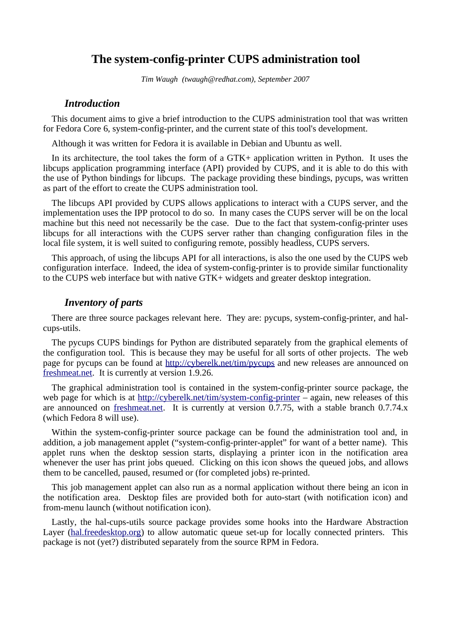# **The system-config-printer CUPS administration tool**

*Tim Waugh (twaugh@redhat.com), September 2007*

#### *Introduction*

This document aims to give a brief introduction to the CUPS administration tool that was written for Fedora Core 6, system-config-printer, and the current state of this tool's development.

Although it was written for Fedora it is available in Debian and Ubuntu as well.

In its architecture, the tool takes the form of a GTK+ application written in Python. It uses the libcups application programming interface (API) provided by CUPS, and it is able to do this with the use of Python bindings for libcups. The package providing these bindings, pycups, was written as part of the effort to create the CUPS administration tool.

The libcups API provided by CUPS allows applications to interact with a CUPS server, and the implementation uses the IPP protocol to do so. In many cases the CUPS server will be on the local machine but this need not necessarily be the case. Due to the fact that system-config-printer uses libcups for all interactions with the CUPS server rather than changing configuration files in the local file system, it is well suited to configuring remote, possibly headless, CUPS servers.

This approach, of using the libcups API for all interactions, is also the one used by the CUPS web configuration interface. Indeed, the idea of system-config-printer is to provide similar functionality to the CUPS web interface but with native GTK+ widgets and greater desktop integration.

### *Inventory of parts*

There are three source packages relevant here. They are: pycups, system-config-printer, and halcups-utils.

The pycups CUPS bindings for Python are distributed separately from the graphical elements of the configuration tool. This is because they may be useful for all sorts of other projects. The web page for pycups can be found at <http://cyberelk.net/tim/pycups> and new releases are announced on [freshmeat.net.](http://freshmeat.net/) It is currently at version 1.9.26.

The graphical administration tool is contained in the system-config-printer source package, the web page for which is at <http://cyberelk.net/tim/system-config-printer> – again, new releases of this are announced on [freshmeat.net.](http://freshmeat.net/) It is currently at version 0.7.75, with a stable branch 0.7.74.x (which Fedora 8 will use).

Within the system-config-printer source package can be found the administration tool and, in addition, a job management applet ("system-config-printer-applet" for want of a better name). This applet runs when the desktop session starts, displaying a printer icon in the notification area whenever the user has print jobs queued. Clicking on this icon shows the queued jobs, and allows them to be cancelled, paused, resumed or (for completed jobs) re-printed.

This job management applet can also run as a normal application without there being an icon in the notification area. Desktop files are provided both for auto-start (with notification icon) and from-menu launch (without notification icon).

Lastly, the hal-cups-utils source package provides some hooks into the Hardware Abstraction Layer [\(hal.freedesktop.org\)](http://hal.freedesktop.org/) to allow automatic queue set-up for locally connected printers. This package is not (yet?) distributed separately from the source RPM in Fedora.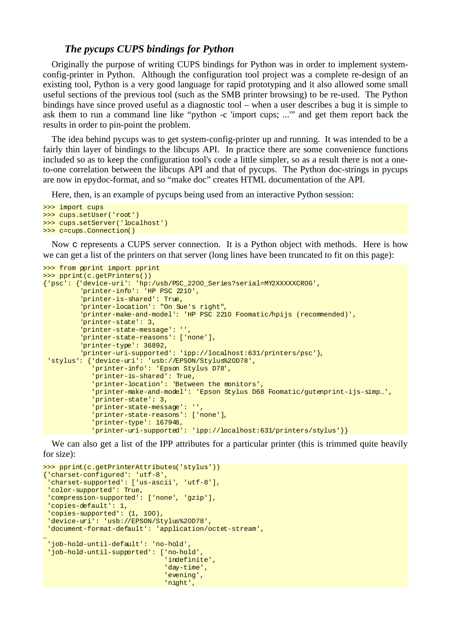#### *The pycups CUPS bindings for Python*

Originally the purpose of writing CUPS bindings for Python was in order to implement systemconfig-printer in Python. Although the configuration tool project was a complete re-design of an existing tool, Python is a very good language for rapid prototyping and it also allowed some small useful sections of the previous tool (such as the SMB printer browsing) to be re-used. The Python bindings have since proved useful as a diagnostic tool – when a user describes a bug it is simple to ask them to run a command line like "python -c 'import cups; ...'" and get them report back the results in order to pin-point the problem.

The idea behind pycups was to get system-config-printer up and running. It was intended to be a fairly thin layer of bindings to the libcups API. In practice there are some convenience functions included so as to keep the configuration tool's code a little simpler, so as a result there is not a oneto-one correlation between the libcups API and that of pycups. The Python doc-strings in pycups are now in epydoc-format, and so "make doc" creates HTML documentation of the API.

Here, then, is an example of pycups being used from an interactive Python session:

```
>>> import cups
>>> cups.setUser('root')
>>> cups.setServer('localhost')
>>> c=cups.Connection()
```
Now c represents a CUPS server connection. It is a Python object with methods. Here is how we can get a list of the printers on that server (long lines have been truncated to fit on this page):

```
>>> from pprint import pprint
>>> pprint(c.getPrinters())
{'psc': {'device-uri': 'hp:/usb/PSC_2200_Series?serial=MY2XXXXXCR0G',
           'printer-info': 'HP PSC 2210',
          'printer-is-shared': True,
           'printer-location': "On Sue's right",
           'printer-make-and-model': 'HP PSC 2210 Foomatic/hpijs (recommended)',
          'printer-state': 3,
          'printer-state-message': '',
          'printer-state-reasons': ['none'],
          'printer-type': 36892,
          'printer-uri-supported': 'ipp://localhost:631/printers/psc'},
  'stylus': {'device-uri': 'usb://EPSON/Stylus%20D78',
              'printer-info': 'Epson Stylus D78',
             'printer-is-shared': True,
             'printer-location': 'Between the monitors',
             'printer-make-and-model': 'Epson Stylus D68 Foomatic/gutenprint-ijs-simp…',
              'printer-state': 3,
             'printer-state-message': '',
             'printer-state-reasons': ['none'],
             'printer-type': 167948,
              'printer-uri-supported': 'ipp://localhost:631/printers/stylus'}}
```
We can also get a list of the IPP attributes for a particular printer (this is trimmed quite heavily for size):

```
>>> pprint(c.getPrinterAttributes('stylus'))
{'charset-configured': 'utf-8',
 'charset-supported': ['us-ascii', 'utf-8'],
  'color-supported': True,
  'compression-supported': ['none', 'gzip'],
  'copies-default': 1,
  'copies-supported': (1, 100),
  'device-uri': 'usb://EPSON/Stylus%20D78',
  'document-format-default': 'application/octet-stream',
…
 'job-hold-until-default': 'no-hold',
 'job-hold-until-supported': ['no-hold',
 'indefinite',
                               'day-time',
                               'evening',
                               'night',
```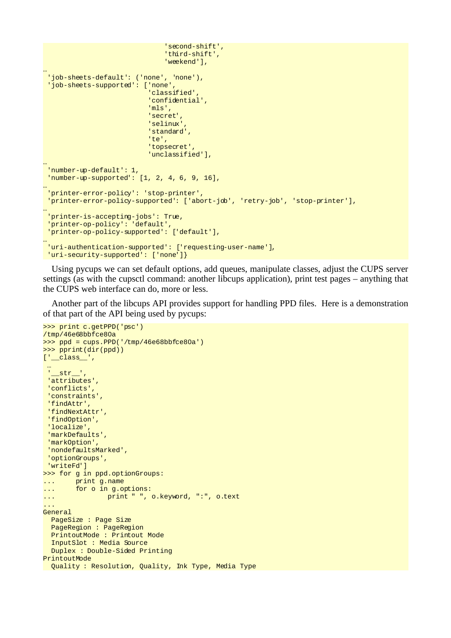```
 'second-shift',
                                'third-shift',
                                'weekend'],
…
 'job-sheets-default': ('none', 'none'),
 'job-sheets-supported': ['none',
 'classified',
                           'confidential',
                           'mls',
                           'secret',
                           'selinux
                            'standard',
                            'te',
                           'topsecret',
                           'unclassified'],
…
 'number-up-default': 1,
  'number-up-supported': [1, 2, 4, 6, 9, 16],
…
 'printer-error-policy': 'stop-printer',
  'printer-error-policy-supported': ['abort-job', 'retry-job', 'stop-printer'],
…
 'printer-is-accepting-jobs': True,
  'printer-op-policy': 'default',
 'printer-op-policy-supported': ['default'],
…
 'uri-authentication-supported': ['requesting-user-name'],
  'uri-security-supported': ['none']}
```
Using pycups we can set default options, add queues, manipulate classes, adjust the CUPS server settings (as with the cupsctl command: another libcups application), print test pages – anything that the CUPS web interface can do, more or less.

Another part of the libcups API provides support for handling PPD files. Here is a demonstration of that part of the API being used by pycups:

```
>>> print c.getPPD('psc')
/tmp/46e68bbfce80a
\gg ppd = cups.PPD('/tmp/46e68bbfce80a')
>>> pprint(dir(ppd))
['_class_',
  …
   str^{-1} 'attributes',
  'conflicts',
  'constraints',
  'findAttr',
  'findNextAttr',
  'findOption',
  'localize',
  'markDefaults',
  'markOption',
  'nondefaultsMarked',
  'optionGroups',
  'writeFd']
>>> for g in ppd.optionGroups:
... print g.name
... for o in g.options:
... print " ", o.keyword, ":", o.text
... 
General
   PageSize : Page Size
   PageRegion : PageRegion
   PrintoutMode : Printout Mode
   InputSlot : Media Source
   Duplex : Double-Sided Printing
PrintoutMode
 Quality : Resolution, Quality, Ink Type, Media Type
```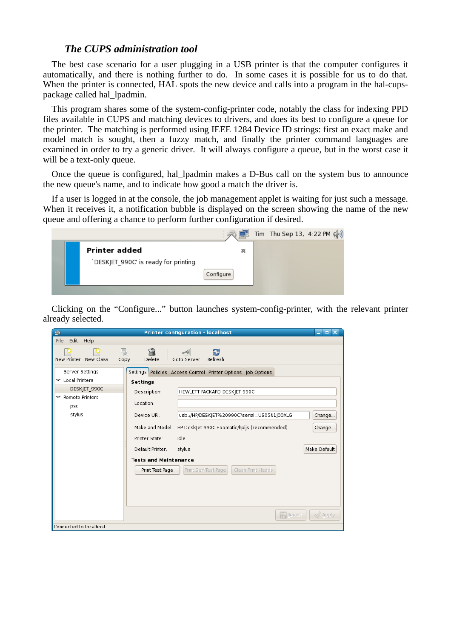#### *The CUPS administration tool*

The best case scenario for a user plugging in a USB printer is that the computer configures it automatically, and there is nothing further to do. In some cases it is possible for us to do that. When the printer is connected, HAL spots the new device and calls into a program in the hal-cupspackage called hal\_lpadmin.

This program shares some of the system-config-printer code, notably the class for indexing PPD files available in CUPS and matching devices to drivers, and does its best to configure a queue for the printer. The matching is performed using IEEE 1284 Device ID strings: first an exact make and model match is sought, then a fuzzy match, and finally the printer command languages are examined in order to try a generic driver. It will always configure a queue, but in the worst case it will be a text-only queue.

Once the queue is configured, hal\_lpadmin makes a D-Bus call on the system bus to announce the new queue's name, and to indicate how good a match the driver is.

If a user is logged in at the console, the job management applet is waiting for just such a message. When it receives it, a notification bubble is displayed on the screen showing the name of the new queue and offering a chance to perform further configuration if desired.



Clicking on the "Configure..." button launches system-config-printer, with the relevant printer already selected.

| s                               | <b>Printer configuration - localhost</b>                          | $\blacksquare$<br>e.                |
|---------------------------------|-------------------------------------------------------------------|-------------------------------------|
| Eile<br>Edit<br>$He$ lp         |                                                                   |                                     |
| New Printer New Class           | â<br>晶<br>ð<br>$\leq$<br>Refresh<br>Delete<br>Copy<br>Goto Server |                                     |
| Server Settings                 | Settings Policies Access Control Printer Options Job Options      |                                     |
| $\triangledown$ Local Printers  | Settings                                                          |                                     |
| DESKJET 990C                    | Description:<br>HEWLETT-PACKARD DESKIET 990C                      |                                     |
| $\nabla$ Remote Printers<br>psc | Location:                                                         |                                     |
| stylus                          | usb://HP/DESKJET%20990C?serial=US05N1J00XLG<br>Device URI:        | Change                              |
|                                 | Make and Model: HP DeskJet 990C Foomatic/hpijs (recommended)      | Change                              |
|                                 | Printer State:<br>Idle                                            |                                     |
|                                 | Default Printer:<br>stylus                                        | Make Default                        |
|                                 | <b>Tests and Maintenance</b>                                      |                                     |
|                                 | Print Self-Test Page<br>Clean Print Heads<br>Print Test Page      |                                     |
|                                 |                                                                   |                                     |
|                                 |                                                                   |                                     |
|                                 |                                                                   |                                     |
|                                 |                                                                   | <b>Revert</b><br>$\mathbb{Z}$ Apply |
| Connected to localhost          |                                                                   |                                     |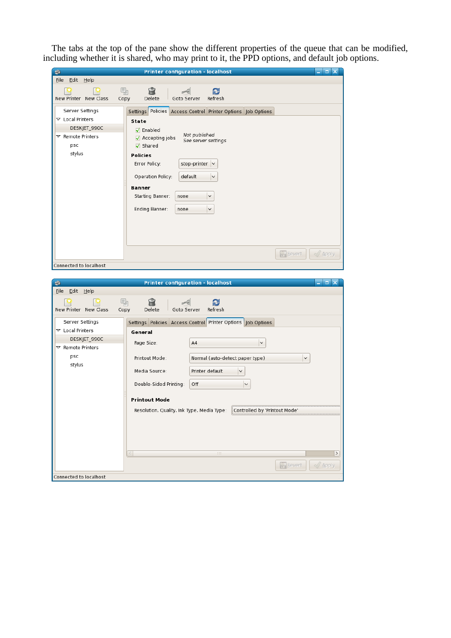The tabs at the top of the pane show the different properties of the queue that can be modified, including whether it is shared, who may print to it, the PPD options, and default job options.

| <b>Printer configuration - localhost</b><br>$=$ $\blacksquare$ $\times$<br>s |                                                                   |                  |  |  |
|------------------------------------------------------------------------------|-------------------------------------------------------------------|------------------|--|--|
| Eile<br>Edit Help                                                            |                                                                   |                  |  |  |
| New Printer New Class                                                        | 晶<br>₩<br>ð<br>$\leq$<br>Delete<br>Refresh<br>Goto Server<br>Copy |                  |  |  |
| Server Settings                                                              | Settings Policies Access Control Printer Options Job Options      |                  |  |  |
| $\triangleright$ Local Printers                                              | State                                                             |                  |  |  |
| DESKJET_990C                                                                 | $\nabla$ Enabled<br>Not published                                 |                  |  |  |
| $\triangledown$ Remote Printers                                              | $\sqrt{ }$ Accepting jobs<br>See server settings                  |                  |  |  |
| psc                                                                          | $\sqrt{ }$ Shared                                                 |                  |  |  |
| stylus                                                                       | <b>Policies</b>                                                   |                  |  |  |
|                                                                              | stop-printer $\vee$<br>Error Policy:                              |                  |  |  |
|                                                                              | <b>Operation Policy:</b><br>default<br>$\checkmark$               |                  |  |  |
|                                                                              | <b>Banner</b>                                                     |                  |  |  |
|                                                                              | Starting Banner:<br>$\checkmark$<br>none                          |                  |  |  |
|                                                                              | Ending Banner:<br>$\checkmark$<br>none                            |                  |  |  |
|                                                                              |                                                                   |                  |  |  |
|                                                                              |                                                                   |                  |  |  |
|                                                                              | <b>P</b> Revert                                                   | $\sqrt{2}$ Apply |  |  |
| Connected to localhost                                                       |                                                                   |                  |  |  |

| s                                               | <b>Printer configuration - localhost</b><br>$\Box$ $\times$<br>-            |               |
|-------------------------------------------------|-----------------------------------------------------------------------------|---------------|
| Edit Help<br><b>File</b>                        |                                                                             |               |
| New Printer New Class                           | 晶<br>ĥ<br>æ<br>Delete<br>Copy<br>Goto Server<br>Refresh                     |               |
| Server Settings                                 | Settings Policies Access Control Printer Options   Job Options              |               |
| $\triangledown$ Local Printers                  | General                                                                     |               |
| DESKJET 990C<br>$\triangledown$ Remote Printers | Page Size:<br>A4<br>$\checkmark$                                            |               |
| psc                                             | Printout Mode:<br>Normal (auto-detect paper type)<br>$\check{~}$            |               |
| stylus                                          | Printer default<br>Media Source:<br>$\check{~}$                             |               |
|                                                 | Double-Sided Printing:<br>Off<br>$\checkmark$                               |               |
|                                                 | <b>Printout Mode</b>                                                        |               |
|                                                 | Controlled by 'Printout Mode'<br>Resolution, Quality, Ink Type, Media Type: |               |
|                                                 | $111\,$<br><b>Revert</b><br>$\mathcal{Q}$ Apply                             | $\rightarrow$ |
| Connected to localhost                          |                                                                             |               |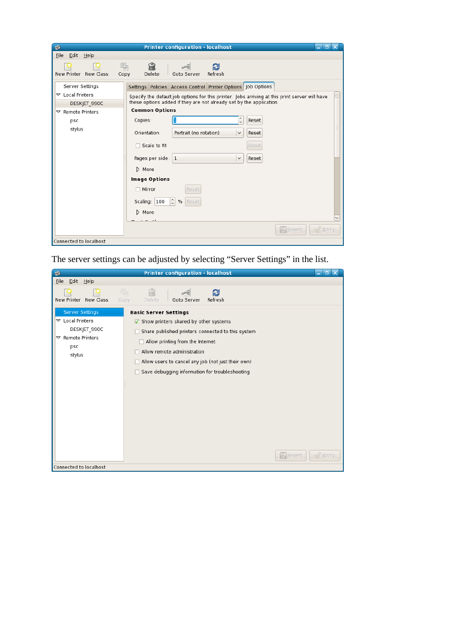| <b>Printer configuration - localhost</b><br>ы<br>s<br>$\boldsymbol{\times}$<br>-                                      |                                                                                                                                                                                                                                                                                                                                                                                                                                                                                                                                                                                                                                                       |  |  |  |  |
|-----------------------------------------------------------------------------------------------------------------------|-------------------------------------------------------------------------------------------------------------------------------------------------------------------------------------------------------------------------------------------------------------------------------------------------------------------------------------------------------------------------------------------------------------------------------------------------------------------------------------------------------------------------------------------------------------------------------------------------------------------------------------------------------|--|--|--|--|
| Eile<br>Edit Help                                                                                                     |                                                                                                                                                                                                                                                                                                                                                                                                                                                                                                                                                                                                                                                       |  |  |  |  |
| 晶<br>New Printer New Class<br>Copy                                                                                    | ĥì<br>Delete<br>Goto Server<br>Refresh                                                                                                                                                                                                                                                                                                                                                                                                                                                                                                                                                                                                                |  |  |  |  |
| Server Settings<br>$\triangledown$ Local Printers<br>DESKJET 990C<br>$\triangledown$ Remote Printers<br>psc<br>stylus | Settings Policies Access Control Printer Options Job Options<br>Specify the default job options for this printer. Jobs arriving at this print server will have<br>these options added if they are not already set by the application.<br><b>Common Options</b><br>$\hat{\cdot}$<br>Copies:<br>1<br>Reset<br>Orientation:<br>Portrait (no rotation)<br>$\checkmark$<br>Reset<br>$\Box$ Scale to fit<br>Reset<br>Pages per side: 1<br>$\check{~}$<br>Reset<br>$\triangleright$ More<br>Image Options<br>$\Box$ Mirror<br>Reset<br>$\hat{\cdot}$<br>Scaling: 100<br>%<br>Reset<br>$\triangleright$ More<br><b>Revert</b><br>$\mathbb{Z}/\mathbb{A}$ pply |  |  |  |  |
| Connected to localhost                                                                                                |                                                                                                                                                                                                                                                                                                                                                                                                                                                                                                                                                                                                                                                       |  |  |  |  |

The server settings can be adjusted by selecting "Server Settings" in the list.

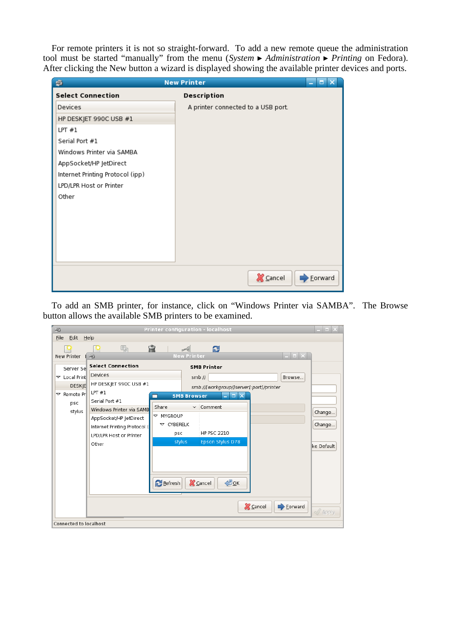For remote printers it is not so straight-forward. To add a new remote queue the administration tool must be started "manually" from the menu (*System* ▸ *Administration* ▸ *Printing* on Fedora). After clicking the New button a wizard is displayed showing the available printer devices and ports.

| <b>New Printer</b><br>\$<br>п<br>÷ |                                    |         |  |  |
|------------------------------------|------------------------------------|---------|--|--|
| <b>Select Connection</b>           | Description                        |         |  |  |
| Devices                            | A printer connected to a USB port. |         |  |  |
| HP DESKJET 990C USB #1             |                                    |         |  |  |
| LPT#1                              |                                    |         |  |  |
| Serial Port #1                     |                                    |         |  |  |
| Windows Printer via SAMBA          |                                    |         |  |  |
| AppSocket/HP JetDirect             |                                    |         |  |  |
| Internet Printing Protocol (ipp)   |                                    |         |  |  |
| LPD/LPR Host or Printer            |                                    |         |  |  |
| Other                              |                                    |         |  |  |
|                                    |                                    |         |  |  |
|                                    |                                    |         |  |  |
|                                    |                                    |         |  |  |
|                                    |                                    |         |  |  |
|                                    |                                    |         |  |  |
|                                    |                                    |         |  |  |
|                                    | <b>X</b> Cancel                    | Eorward |  |  |

To add an SMB printer, for instance, click on "Windows Printer via SAMBA". The Browse button allows the available SMB printers to be examined.

| 田                                                                                                                                | Printer configuration - localhost                                                                                                                                                                          | $\Box$ $\times$                |
|----------------------------------------------------------------------------------------------------------------------------------|------------------------------------------------------------------------------------------------------------------------------------------------------------------------------------------------------------|--------------------------------|
| Edit<br>Eile<br>$He$ lp                                                                                                          |                                                                                                                                                                                                            |                                |
| 晶<br>New Printer<br>$\Rightarrow$                                                                                                | 侖<br>a<br>⊿<br>$\Box$ $\times$<br><b>New Printer</b>                                                                                                                                                       |                                |
| <b>Select Connection</b><br>Server Se                                                                                            | <b>SMB Printer</b>                                                                                                                                                                                         |                                |
| Devices<br>$\triangledown$ Local Print                                                                                           | smb://<br>Browse                                                                                                                                                                                           |                                |
| HP DESKJET 990C USB #1<br><b>DESKJE</b>                                                                                          | smb://[workgroup/]server[:port]/printer                                                                                                                                                                    |                                |
| LPT#1<br>$\triangledown$ Remote Pr<br>Serial Port #1<br>psc                                                                      | <b>SMB Browser</b><br>$\blacksquare$<br>e.                                                                                                                                                                 |                                |
| Windows Printer via SAMB<br>stylus<br>AppSocket/HP JetDirect<br>Internet Printing Protocol (<br>LPD/LPR Host or Printer<br>Other | Comment<br>Share<br>$\checkmark$<br>$\triangledown$ MYGROUP<br>$\triangledown$ CYBERELK<br><b>HP PSC 2210</b><br>psc<br>stylus<br>Epson Stylus D78<br>$\bigoplus_{\Omega} K$<br><b>X</b> Cancel<br>Refresh | Change<br>Change<br>ke Default |
|                                                                                                                                  | <b>X</b> Cancel<br>$\rightarrow$ Eorward                                                                                                                                                                   | $\sqrt{2}$ Apply               |
| Connected to localhost                                                                                                           |                                                                                                                                                                                                            |                                |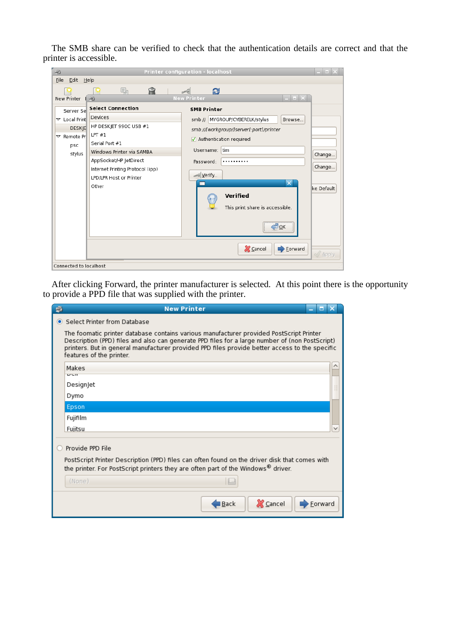The SMB share can be verified to check that the authentication details are correct and that the printer is accessible.

| 侖<br>晶<br>£<br>$\mathcal{A}$<br><b>New Printer</b><br>$\Box$ $\times$<br><b>New Printer</b><br>田<br><b>Select Connection</b><br><b>SMB Printer</b><br>Server Se<br>Devices<br>$\triangledown$ Local Print<br>smb:// MYGROUP/CYBERELK/stylus<br>Browse<br>HP DESKJET 990C USB #1<br><b>DESKIE</b><br>smb://[workgroup/]server[:port]/printer<br>LPT#1<br>$\triangledown$ Remote Pri<br>Authentication required<br>Serial Port #1<br>psc<br>tim<br>Username:<br>Windows Printer via SAMBA<br>stylus<br>Change<br>AppSocket/HP JetDirect<br>Password:<br><br>Change<br>Internet Printing Protocol (ipp)<br>Verify<br>LPD/LPR Host or Printer<br>$\overline{\mathsf{x}}$<br>Other<br>ke Default<br>Verified<br>This print share is accessible.<br>$\mathcal{D}_{\mathsf{QK}}$<br><b>X</b> Cancel<br>$\rightarrow$ Eorward | 兩<br>Eile<br>Edit | $He$ lp | Printer configuration - localhost | $\left  \right $ |
|-----------------------------------------------------------------------------------------------------------------------------------------------------------------------------------------------------------------------------------------------------------------------------------------------------------------------------------------------------------------------------------------------------------------------------------------------------------------------------------------------------------------------------------------------------------------------------------------------------------------------------------------------------------------------------------------------------------------------------------------------------------------------------------------------------------------------|-------------------|---------|-----------------------------------|------------------|
|                                                                                                                                                                                                                                                                                                                                                                                                                                                                                                                                                                                                                                                                                                                                                                                                                       |                   |         |                                   |                  |
|                                                                                                                                                                                                                                                                                                                                                                                                                                                                                                                                                                                                                                                                                                                                                                                                                       |                   |         |                                   | $\sqrt{2}$ Apply |

After clicking Forward, the printer manufacturer is selected. At this point there is the opportunity to provide a PPD file that was supplied with the printer.

| S | <b>New Printer</b><br>Е                                                                                                                                                                                                                                                                                                 |
|---|-------------------------------------------------------------------------------------------------------------------------------------------------------------------------------------------------------------------------------------------------------------------------------------------------------------------------|
|   | • Select Printer from Database                                                                                                                                                                                                                                                                                          |
|   | The foomatic printer database contains various manufacturer provided PostScript Printer<br>Description (PPD) files and also can generate PPD files for a large number of (non PostScript)<br>printers. But in general manufacturer provided PPD files provide better access to the specific<br>features of the printer. |
|   | Makes<br>$U \cup U$                                                                                                                                                                                                                                                                                                     |
|   | Designjet                                                                                                                                                                                                                                                                                                               |
|   | Dymo                                                                                                                                                                                                                                                                                                                    |
|   | Epson                                                                                                                                                                                                                                                                                                                   |
|   | Fujifilm                                                                                                                                                                                                                                                                                                                |
|   | Fujitsu                                                                                                                                                                                                                                                                                                                 |
|   | Provide PPD File<br>PostScript Printer Description (PPD) files can often found on the driver disk that comes with<br>the printer. For PostScript printers they are often part of the Windows® driver.<br>(None)                                                                                                         |
|   |                                                                                                                                                                                                                                                                                                                         |
|   | <b>X</b> Cancel<br>I Back<br>Forward                                                                                                                                                                                                                                                                                    |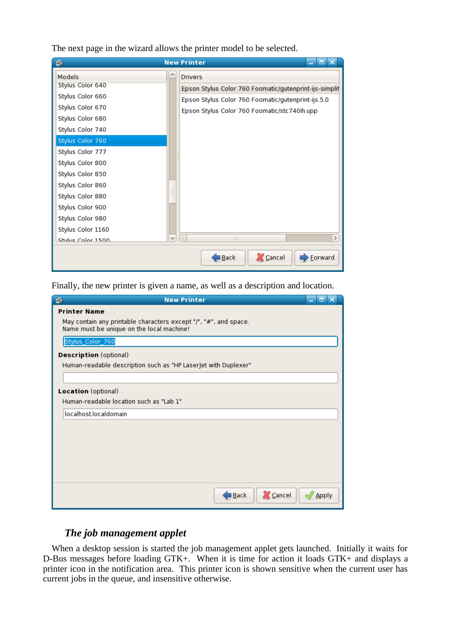The next page in the wizard allows the printer model to be selected.

| s                 | <b>New Printer</b><br>ы<br>÷                           |
|-------------------|--------------------------------------------------------|
| Models            | <b>Drivers</b>                                         |
| Stylus Color 640  | Epson Stylus Color 760 Foomatic/gutenprint-ijs-simplif |
| Stylus Color 660  | Epson Stylus Color 760 Foomatic/gutenprint-ijs.5.0     |
| Stylus Color 670  | Epson Stylus Color 760 Foomatic/stc740ih.upp           |
| Stylus Color 680  |                                                        |
| Stylus Color 740  |                                                        |
| Stylus Color 760  |                                                        |
| Stylus Color 777  |                                                        |
| Stylus Color 800  |                                                        |
| Stylus Color 850  |                                                        |
| Stylus Color 860  |                                                        |
| Stylus Color 880  |                                                        |
| Stylus Color 900  |                                                        |
| Stylus Color 980  |                                                        |
| Stylus Color 1160 |                                                        |
| Stylus Color 1500 | $\checkmark$<br>$\,<$<br>$\rightarrow$<br>111          |
|                   | <b>X</b> Cancel<br>Eorward<br>Back                     |

Finally, the new printer is given a name, as well as a description and location.

| <b>New Printer</b><br>Š<br>о<br>н                                                                             |
|---------------------------------------------------------------------------------------------------------------|
| <b>Printer Name</b>                                                                                           |
| May contain any printable characters except "/", "#", and space.<br>Name must be unique on the local machine! |
| Stylus_Color_760                                                                                              |
| Description (optional)                                                                                        |
| Human-readable description such as "HP LaserJet with Duplexer"                                                |
|                                                                                                               |
| Location (optional)                                                                                           |
| Human-readable location such as "Lab 1"                                                                       |
| localhost.localdomain                                                                                         |
|                                                                                                               |
|                                                                                                               |
|                                                                                                               |
|                                                                                                               |
|                                                                                                               |
|                                                                                                               |
| <b>X</b> Cancel<br>l <u>B</u> ack<br>Apply                                                                    |

# *The job management applet*

When a desktop session is started the job management applet gets launched. Initially it waits for D-Bus messages before loading GTK+. When it is time for action it loads GTK+ and displays a printer icon in the notification area. This printer icon is shown sensitive when the current user has current jobs in the queue, and insensitive otherwise.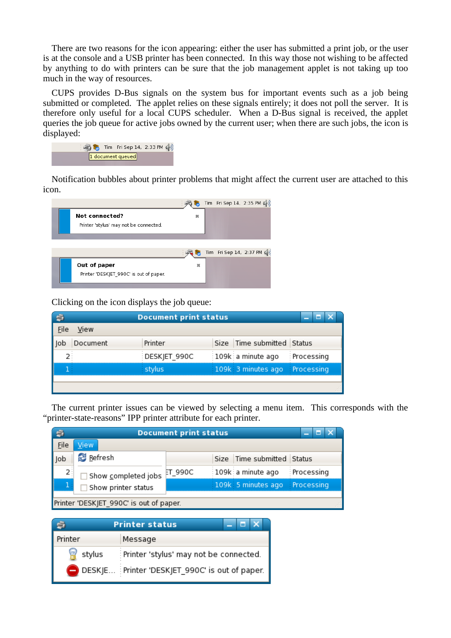There are two reasons for the icon appearing: either the user has submitted a print job, or the user is at the console and a USB printer has been connected. In this way those not wishing to be affected by anything to do with printers can be sure that the job management applet is not taking up too much in the way of resources.

CUPS provides D-Bus signals on the system bus for important events such as a job being submitted or completed. The applet relies on these signals entirely; it does not poll the server. It is therefore only useful for a local CUPS scheduler. When a D-Bus signal is received, the applet queries the job queue for active jobs owned by the current user; when there are such jobs, the icon is displayed:

|  | S Tim Fri Sep 14, 2:33 PM ( |  |
|--|-----------------------------|--|
|  | 1 document queued           |  |

Notification bubbles about printer problems that might affect the current user are attached to this icon.



Clicking on the icon displays the job queue:

|          | <b>Document print status</b> |                               | Е |
|----------|------------------------------|-------------------------------|---|
| View     |                              |                               |   |
| Document | Printer                      | Size Time submitted Status    |   |
|          | DESKJET 990C                 | 109k a minute ago Processing  |   |
|          | stylus                       | 109k 3 minutes ago Processing |   |
|          |                              |                               |   |

The current printer issues can be viewed by selecting a menu item. This corresponds with the "printer-state-reasons" IPP printer attribute for each printer.

|                                         | <b>Document print status</b><br>m |         |  |                               |              |  |  |
|-----------------------------------------|-----------------------------------|---------|--|-------------------------------|--------------|--|--|
| File                                    | View                              |         |  |                               |              |  |  |
| Job                                     | Refresh                           |         |  | Size Time submitted Status    |              |  |  |
| 2                                       | Show completed jobs               | ET_990C |  | i 109ki a minute ago          | : Processing |  |  |
|                                         | Show printer status               |         |  | 109k 5 minutes ago Processing |              |  |  |
| Printer 'DESKJET 990C' is out of paper. |                                   |         |  |                               |              |  |  |

| <b>Printer status</b> |                                                |  |  |  |
|-----------------------|------------------------------------------------|--|--|--|
| rinter                | Message                                        |  |  |  |
| stylus                | Printer 'stylus' may not be connected.         |  |  |  |
|                       | DESKJE Printer 'DESKJET_990C' is out of paper. |  |  |  |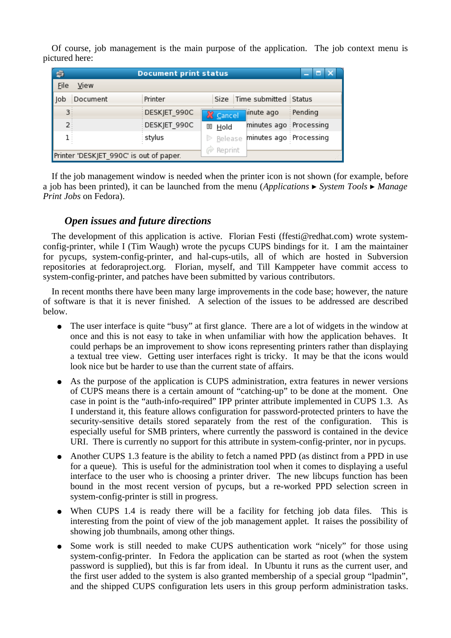Of course, job management is the main purpose of the application. The job context menu is pictured here:

| 白<br><b>Document print status</b><br>6  |                                           |  |  |  |  |
|-----------------------------------------|-------------------------------------------|--|--|--|--|
| File<br>View                            |                                           |  |  |  |  |
| Printer<br>Document<br>lob              | Size Time submitted Status                |  |  |  |  |
| 3 <sup>3</sup><br>DESKJET_990C          | : Pending<br>inute ago<br><b>X</b> Cancel |  |  |  |  |
| $2^{\frac{1}{2}}$<br>DESKJET 990C       | minutes ago Processing<br>OD Hold         |  |  |  |  |
| 1 :<br>: stylus                         | minutes ago : Processing<br>Release<br>D  |  |  |  |  |
| Printer 'DESKJET 990C' is out of paper. | Reprint                                   |  |  |  |  |

If the job management window is needed when the printer icon is not shown (for example, before a job has been printed), it can be launched from the menu (*Applications* ▸ *System Tools* ▸ *Manage Print Jobs* on Fedora).

## *Open issues and future directions*

The development of this application is active. Florian Festi (ffesti@redhat.com) wrote systemconfig-printer, while I (Tim Waugh) wrote the pycups CUPS bindings for it. I am the maintainer for pycups, system-config-printer, and hal-cups-utils, all of which are hosted in Subversion repositories at fedoraproject.org. Florian, myself, and Till Kamppeter have commit access to system-config-printer, and patches have been submitted by various contributors.

In recent months there have been many large improvements in the code base; however, the nature of software is that it is never finished. A selection of the issues to be addressed are described below.

- The user interface is quite "busy" at first glance. There are a lot of widgets in the window at once and this is not easy to take in when unfamiliar with how the application behaves. It could perhaps be an improvement to show icons representing printers rather than displaying a textual tree view. Getting user interfaces right is tricky. It may be that the icons would look nice but be harder to use than the current state of affairs.
- As the purpose of the application is CUPS administration, extra features in newer versions of CUPS means there is a certain amount of "catching-up" to be done at the moment. One case in point is the "auth-info-required" IPP printer attribute implemented in CUPS 1.3. As I understand it, this feature allows configuration for password-protected printers to have the security-sensitive details stored separately from the rest of the configuration. This is especially useful for SMB printers, where currently the password is contained in the device URI. There is currently no support for this attribute in system-config-printer, nor in pycups.
- Another CUPS 1.3 feature is the ability to fetch a named PPD (as distinct from a PPD in use for a queue). This is useful for the administration tool when it comes to displaying a useful interface to the user who is choosing a printer driver. The new libcups function has been bound in the most recent version of pycups, but a re-worked PPD selection screen in system-config-printer is still in progress.
- When CUPS 1.4 is ready there will be a facility for fetching job data files. This is interesting from the point of view of the job management applet. It raises the possibility of showing job thumbnails, among other things.
- Some work is still needed to make CUPS authentication work "nicely" for those using system-config-printer. In Fedora the application can be started as root (when the system password is supplied), but this is far from ideal. In Ubuntu it runs as the current user, and the first user added to the system is also granted membership of a special group "lpadmin", and the shipped CUPS configuration lets users in this group perform administration tasks.